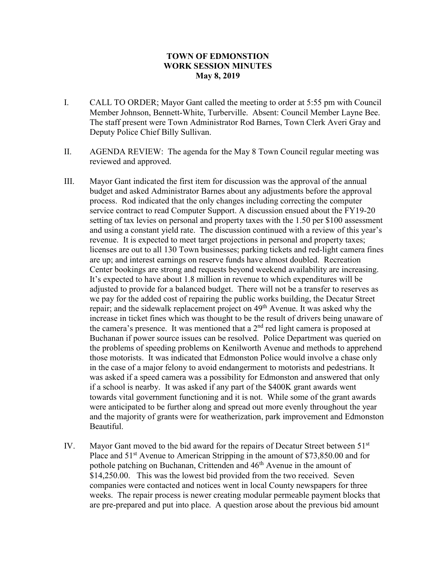## **TOWN OF EDMONSTION WORK SESSION MINUTES May 8, 2019**

- I. CALL TO ORDER; Mayor Gant called the meeting to order at 5:55 pm with Council Member Johnson, Bennett-White, Turberville. Absent: Council Member Layne Bee. The staff present were Town Administrator Rod Barnes, Town Clerk Averi Gray and Deputy Police Chief Billy Sullivan.
- II. AGENDA REVIEW: The agenda for the May 8 Town Council regular meeting was reviewed and approved.
- III. Mayor Gant indicated the first item for discussion was the approval of the annual budget and asked Administrator Barnes about any adjustments before the approval process. Rod indicated that the only changes including correcting the computer service contract to read Computer Support. A discussion ensued about the FY19-20 setting of tax levies on personal and property taxes with the 1.50 per \$100 assessment and using a constant yield rate. The discussion continued with a review of this year's revenue. It is expected to meet target projections in personal and property taxes; licenses are out to all 130 Town businesses; parking tickets and red-light camera fines are up; and interest earnings on reserve funds have almost doubled. Recreation Center bookings are strong and requests beyond weekend availability are increasing. It's expected to have about 1.8 million in revenue to which expenditures will be adjusted to provide for a balanced budget. There will not be a transfer to reserves as we pay for the added cost of repairing the public works building, the Decatur Street repair; and the sidewalk replacement project on  $49<sup>th</sup>$  Avenue. It was asked why the increase in ticket fines which was thought to be the result of drivers being unaware of the camera's presence. It was mentioned that a  $2<sup>nd</sup>$  red light camera is proposed at Buchanan if power source issues can be resolved. Police Department was queried on the problems of speeding problems on Kenilworth Avenue and methods to apprehend those motorists. It was indicated that Edmonston Police would involve a chase only in the case of a major felony to avoid endangerment to motorists and pedestrians. It was asked if a speed camera was a possibility for Edmonston and answered that only if a school is nearby. It was asked if any part of the \$400K grant awards went towards vital government functioning and it is not. While some of the grant awards were anticipated to be further along and spread out more evenly throughout the year and the majority of grants were for weatherization, park improvement and Edmonston Beautiful.
- IV. Mayor Gant moved to the bid award for the repairs of Decatur Street between 51<sup>st</sup> Place and  $51<sup>st</sup>$  Avenue to American Stripping in the amount of \$73,850.00 and for pothole patching on Buchanan, Crittenden and 46<sup>th</sup> Avenue in the amount of \$14,250.00. This was the lowest bid provided from the two received. Seven companies were contacted and notices went in local County newspapers for three weeks. The repair process is newer creating modular permeable payment blocks that are pre-prepared and put into place. A question arose about the previous bid amount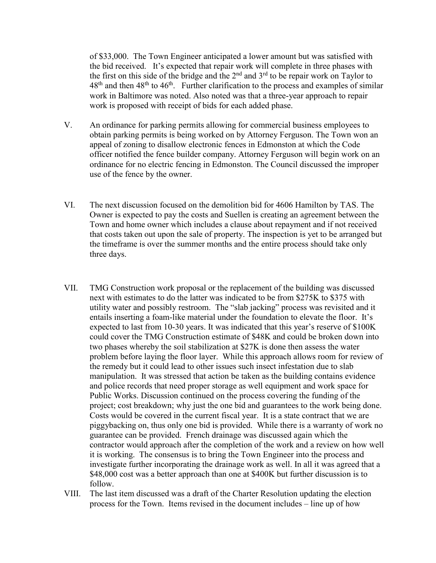of \$33,000. The Town Engineer anticipated a lower amount but was satisfied with the bid received. It's expected that repair work will complete in three phases with the first on this side of the bridge and the  $2<sup>nd</sup>$  and  $3<sup>rd</sup>$  to be repair work on Taylor to  $48<sup>th</sup>$  and then  $48<sup>th</sup>$  to  $46<sup>th</sup>$ . Further clarification to the process and examples of similar work in Baltimore was noted. Also noted was that a three-year approach to repair work is proposed with receipt of bids for each added phase.

- V. An ordinance for parking permits allowing for commercial business employees to obtain parking permits is being worked on by Attorney Ferguson. The Town won an appeal of zoning to disallow electronic fences in Edmonston at which the Code officer notified the fence builder company. Attorney Ferguson will begin work on an ordinance for no electric fencing in Edmonston. The Council discussed the improper use of the fence by the owner.
- VI. The next discussion focused on the demolition bid for 4606 Hamilton by TAS. The Owner is expected to pay the costs and Suellen is creating an agreement between the Town and home owner which includes a clause about repayment and if not received that costs taken out upon the sale of property. The inspection is yet to be arranged but the timeframe is over the summer months and the entire process should take only three days.
- VII. TMG Construction work proposal or the replacement of the building was discussed next with estimates to do the latter was indicated to be from \$275K to \$375 with utility water and possibly restroom. The "slab jacking" process was revisited and it entails inserting a foam-like material under the foundation to elevate the floor. It's expected to last from 10-30 years. It was indicated that this year's reserve of \$100K could cover the TMG Construction estimate of \$48K and could be broken down into two phases whereby the soil stabilization at \$27K is done then assess the water problem before laying the floor layer. While this approach allows room for review of the remedy but it could lead to other issues such insect infestation due to slab manipulation. It was stressed that action be taken as the building contains evidence and police records that need proper storage as well equipment and work space for Public Works. Discussion continued on the process covering the funding of the project; cost breakdown; why just the one bid and guarantees to the work being done. Costs would be covered in the current fiscal year. It is a state contract that we are piggybacking on, thus only one bid is provided. While there is a warranty of work no guarantee can be provided. French drainage was discussed again which the contractor would approach after the completion of the work and a review on how well it is working. The consensus is to bring the Town Engineer into the process and investigate further incorporating the drainage work as well. In all it was agreed that a \$48,000 cost was a better approach than one at \$400K but further discussion is to follow.
- VIII. The last item discussed was a draft of the Charter Resolution updating the election process for the Town. Items revised in the document includes – line up of how